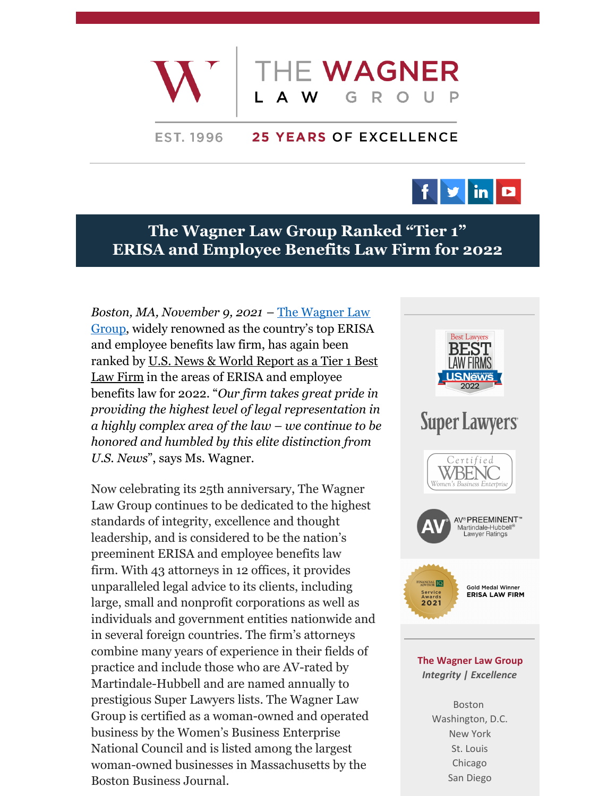

## **25 YEARS OF EXCELLENCE EST. 1996**



## **The Wagner Law Group Ranked "Tier 1" ERISA and Employee Benefits Law Firm for 2022**

*Boston, MA, [November](https://www.wagnerlawgroup.com/) 9, 2021* – The Wagner Law Group, widely renowned as the country's top ERISA and employee benefits law firm, has again been ranked by U.S. News & World Report as a Tier 1 Best Law Firm in the areas of ERISA and [employee](https://bestlawfirms.usnews.com/profile/the-wagner-law-group/overview/32261) benefits law for 2022. "*Our firm takes great pride in providing the highest level of legal representation in a highly complex area of the law – we continue to be honored and humbled by this elite distinction from U.S. News*", says Ms. Wagner.

Now celebrating its 25th anniversary, The Wagner Law Group continues to be dedicated to the highest standards of integrity, excellence and thought leadership, and is considered to be the nation's preeminent ERISA and employee benefits law firm. With 43 attorneys in 12 offices, it provides unparalleled legal advice to its clients, including large, small and nonprofit corporations as well as individuals and government entities nationwide and in several foreign countries. The firm's attorneys combine many years of experience in their fields of practice and include those who are AV-rated by Martindale-Hubbell and are named annually to prestigious Super Lawyers lists. The Wagner Law Group is certified as a woman-owned and operated business by the Women's Business Enterprise National Council and is listed among the largest woman-owned businesses in Massachusetts by the Boston Business Journal.



*Integrity | Excellence*

Boston Washington, D.C. New York St. Louis Chicago San Diego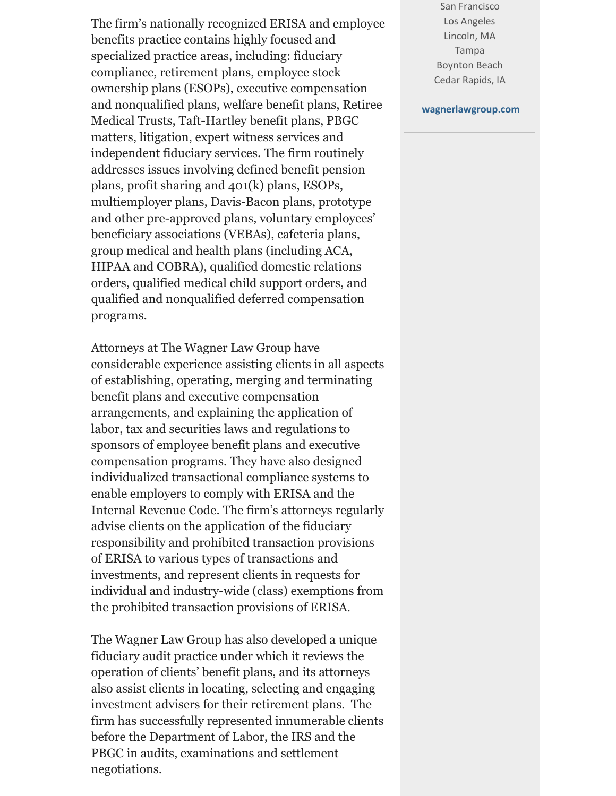The firm's nationally recognized ERISA and employee benefits practice contains highly focused and specialized practice areas, including: fiduciary compliance, retirement plans, employee stock ownership plans (ESOPs), executive compensation and nonqualified plans, welfare benefit plans, Retiree Medical Trusts, Taft-Hartley benefit plans, PBGC matters, litigation, expert witness services and independent fiduciary services. The firm routinely addresses issues involving defined benefit pension plans, profit sharing and 401(k) plans, ESOPs, multiemployer plans, Davis-Bacon plans, prototype and other pre-approved plans, voluntary employees' beneficiary associations (VEBAs), cafeteria plans, group medical and health plans (including ACA, HIPAA and COBRA), qualified domestic relations orders, qualified medical child support orders, and qualified and nonqualified deferred compensation programs.

Attorneys at The Wagner Law Group have considerable experience assisting clients in all aspects of establishing, operating, merging and terminating benefit plans and executive compensation arrangements, and explaining the application of labor, tax and securities laws and regulations to sponsors of employee benefit plans and executive compensation programs. They have also designed individualized transactional compliance systems to enable employers to comply with ERISA and the Internal Revenue Code. The firm's attorneys regularly advise clients on the application of the fiduciary responsibility and prohibited transaction provisions of ERISA to various types of transactions and investments, and represent clients in requests for individual and industry-wide (class) exemptions from the prohibited transaction provisions of ERISA.

The Wagner Law Group has also developed a unique fiduciary audit practice under which it reviews the operation of clients' benefit plans, and its attorneys also assist clients in locating, selecting and engaging investment advisers for their retirement plans. The firm has successfully represented innumerable clients before the Department of Labor, the IRS and the PBGC in audits, examinations and settlement negotiations.

San Francisco Los Angeles Lincoln, MA Tampa Boynton Beach Cedar Rapids, IA

## **[wagnerlawgroup.com](http://www.wagnerlawgroup.com)**